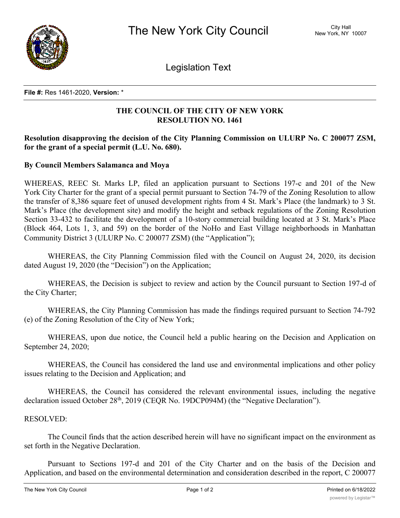

Legislation Text

**File #:** Res 1461-2020, **Version:** \*

## **THE COUNCIL OF THE CITY OF NEW YORK RESOLUTION NO. 1461**

## **Resolution disapproving the decision of the City Planning Commission on ULURP No. C 200077 ZSM, for the grant of a special permit (L.U. No. 680).**

## **By Council Members Salamanca and Moya**

WHEREAS, REEC St. Marks LP, filed an application pursuant to Sections 197-c and 201 of the New York City Charter for the grant of a special permit pursuant to Section 74-79 of the Zoning Resolution to allow the transfer of 8,386 square feet of unused development rights from 4 St. Mark's Place (the landmark) to 3 St. Mark's Place (the development site) and modify the height and setback regulations of the Zoning Resolution Section 33-432 to facilitate the development of a 10-story commercial building located at 3 St. Mark's Place (Block 464, Lots 1, 3, and 59) on the border of the NoHo and East Village neighborhoods in Manhattan Community District 3 (ULURP No. C 200077 ZSM) (the "Application");

WHEREAS, the City Planning Commission filed with the Council on August 24, 2020, its decision dated August 19, 2020 (the "Decision") on the Application;

WHEREAS, the Decision is subject to review and action by the Council pursuant to Section 197-d of the City Charter;

WHEREAS, the City Planning Commission has made the findings required pursuant to Section 74-792 (e) of the Zoning Resolution of the City of New York;

WHEREAS, upon due notice, the Council held a public hearing on the Decision and Application on September 24, 2020;

WHEREAS, the Council has considered the land use and environmental implications and other policy issues relating to the Decision and Application; and

WHEREAS, the Council has considered the relevant environmental issues, including the negative declaration issued October 28<sup>th</sup>, 2019 (CEQR No. 19DCP094M) (the "Negative Declaration").

## RESOLVED:

The Council finds that the action described herein will have no significant impact on the environment as set forth in the Negative Declaration.

Pursuant to Sections 197-d and 201 of the City Charter and on the basis of the Decision and Application, and based on the environmental determination and consideration described in the report, C 200077